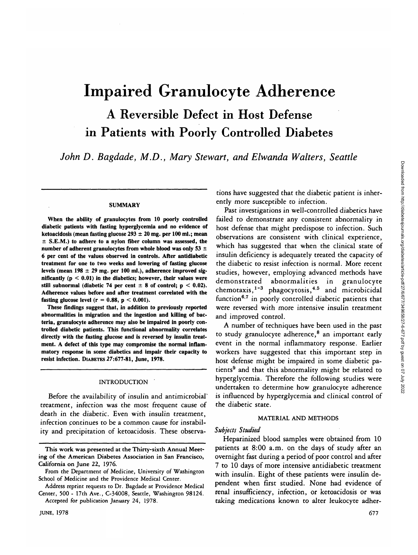# Impaired Granulocyte Adherence A Reversible Defect in Host Defense in Patients with Poorly Controlled Diabetes

*John D. Bagdade, M.D., Mary Stewart, and Elwanda Walters, Seattle*

### **SUMMARY**

**When the ability of granulocytes from 10 poorly controlled diabetic patients with fasting hyperglycemia and no evidence of ketoacidosis (mean fasting glucose 293 ± 20 ing. per 100 ml.; mean ± S.E.M.) to adhere to a nylon fiber column was assessed, the number of adherent granulocytes from whole blood was only 53 ± 6 per cent of the values observed in controls. After antidiabetic treatment for one to two weeks and lowering of fasting glucose levels (mean 198 ± 29 mg. per 100 ml.), adherence improved significantly (p < 0.01) in the diabetics; however, their values were** still subnormal (diabetic 74 per cent  $\pm$  8 of control;  $p < 0.02$ ). **Adherence values before and after treatment correlated with the fasting glucose level (r = 0.88, p < 0.001).** 

**These findings suggest that, in addition to previously reported abnormalities in migration and the ingestion and killing of bacteria, granulocyte adherence may also be impaired in poorly controlled diabetic patients. This functional abnormality correlates directly with the fasting glucose and is reversed by insulin treatment. A defect of this type may compromise the normal inflammatory response in some diabetics and impair their capacity to resist infection. DIABETES 27:677-81, June, 1978.**

# **INTRODUCTION**

Before the availability of insulin and antimicrobial' treatment, infection was the most frequent cause of death in the diabetic. Even with insulin treatment, infection continues to be a common cause for instability and precipitation of ketoacidosis. These observations have suggested that the diabetic patient is inherently more susceptible to infection.

Past investigations in well-controlled diabetics have failed to demonstrate any consistent abnormality in host defense that might predispose to infection. Such observations are consistent with clinical experience, which has suggested that when the clinical state of insulin deficiency is adequately treated the capacity of the diabetic to resist infection is normal. More recent studies, however, employing advanced methods have demonstrated abnormalities in granulocyte  $chemical<sup>1-3</sup>$  phagocytosis,<sup>4,5</sup> and microbicidal function<sup>6,7</sup> in poorly controlled diabetic patients that were reversed with more intensive insulin treatment and improved control.

A number of techniques have been used in the past to study granulocyte adherence,<sup>8</sup> an important early event in the normal inflammatory response. Earlier workers have suggested that this important step in host defense might be impaired in some diabetic patients<sup>9</sup> and that this abnormality might be related to hyperglycemia. Therefore the following studies were undertaken to determine how granulocyte adherence is influenced by hyperglycemia and clinical control of the diabetic state.

### MATERIAL AND METHODS

## *Subjects Studied*

Heparinized blood samples were obtained from 10 patients at 8:00 a.m. on the days of study after an overnight fast during a period of poor control and after 7 to 10 days of more intensive antidiabetic treatment with insulin. Eight of these patients were insulin dependent when first studied. None had evidence of renal insufficiency, infection, or ketoacidosis or was taking medications known to alter leukocyte adher-

**This work was presented at the Thirty-sixth Annual Meeting of the American Diabetes Association in San Francisco, California on June 22, 1976.**

**From the Department of Medicine, University of Washington School of Medicine and the Providence Medical Center.**

**Address reprint requests to Dr. Bagdade at Providence Medical Center, 500 - 17th Ave., C-34008, Seattle, Washington 98124. Accepted for publication January 24, 1978.**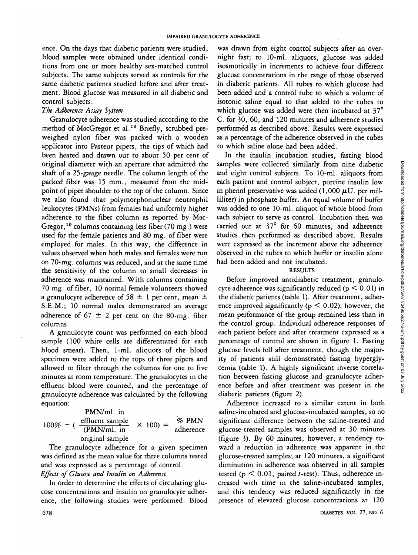ence. On the days that diabetic patients were studied, blood samples were obtained under identical conditions from one or more healthy sex-matched control subjects. The same subjects served as controls for the same diabetic patients studied before and after treatment. Blood glucose was measured in all diabetic and control subjects.

# *The Adherence Assay System*

Granulocyte adherence was studied according to the method of MacGregor et al.<sup>10</sup> Briefly, scrubbed preweighed nylon fiber was packed with a wooden applicator into Pasteur pipets, the tips of which had been heated and drawn out to about 50 per cent of original diameter with an aperture that admitted the shaft of a 25-gauge needle. The column length of the packed fiber was 15 mm., measured from the midpoint of pipet shoulder to the top of the column. Since we also found that polymorphonuclear neutrophil leukocytes (PMNs) from females had uniformly higher adherence to the fiber column as reported by Mac-Gregor,<sup>10</sup> columns containing less fiber (70 mg.) were used for the female patients and 80 mg. of fiber were employed for males. In this way, the difference in values observed when both males and females were run on 70-mg. columns was reduced, and at the same time the sensitivity of the column to small decreases in adherence was maintained. With columns containing 70 mg. of fiber, 10 normal female volunteers showed a granulocyte adherence of 58  $\pm$  1 per cent, mean  $\pm$ S.E.M.; 10 normal males demonstrated an average adherence of  $67 \pm 2$  per cent on the 80-mg. fiber columns.

A granulocyte count was performed on each blood sample (100 white cells are differentiated for each blood smear). Then, 1-ml. aliquots of the blood specimen were added to the tops of three pipets and allowed to filter through the columns for one to five minutes at room temperature. The granulocytes in the effluent blood were counted, and the percentage of granulocyte adherence was calculated by the following equation:

PMN/ml. in  $_{100\%}$  , effluent sample  $_{\times}$  100 = % PMN  $\sqrt{(PMN/ml)}$  in  $\sqrt{(100/2)}$  ad original sample

The granulocyte adherence for a given specimen was defined as the mean value for three columns tested and was expressed as a percentage of control.

Effects of Glucose and Insulin on Adherence

In order to determine the effects of circulating glucose concentrations and insulin on granulocyte adherence, the following studies were performed. Blood  $\epsilon$  the following studies were performed. Blood studies were performed. Blood studies were performed. Blood studies were performed. Blood studies were performed. Blood studies were performed. Blood studies were performed

was drawn from eight control subjects after an overnight fast; to 10-ml. aliquots, glucose was added isosmotically in increments to achieve four different glucose concentrations in the range of those observed in diabetic patients. All tubes to which glucose had been added and a control tube to which a volume of isotonic saline equal to that added to the tubes to which glucose was added were then incubated at 37° C. for 30, 60, and 120 minutes and adherence studies performed as described above. Results were expressed as a percentage of the adherence observed in the tubes to which saline alone had been added.

In the insulin incubation studies, fasting blood samples were collected similarly from nine diabetic and eight control subjects. To 10-ml. aliquots from each patient and control subject, porcine insulin low in phenol preservative was added  $(1,000 \ \mu U)$ . per milliliter) in phosphate buffer. An equal volume of buffer was added to one 10-ml. aliquot of whole blood from each subject to serve as control. Incubation then was carried out at 37° for 60 minutes, and adherence studies then performed as described above. Results were expressed as the increment above the adherence observed in the tubes to which buffer or insulin alone had been added and not incubated.

## RESULTS

Before improved antidiabetic treatment, granulocyte adherence was significantly reduced ( $p \le 0.01$ ) in the diabetic patients (table 1). After treatment, adherence improved significantly ( $p < 0.02$ ); however, the mean performance of the group remained less than in the control group. Individual adherence responses of each patient before and after treatment expressed as a percentage of control are shown in figure 1. Fasting glucose levels fell after treatment, though the majority of patients still demonstrated fasting hyperglycemia (table 1). A highly significant inverse correlation between fasting glucose and granulocyte adherence before and after treatment was present in the diabetic patients (figure 2).

Adherence increased to a similar extent in both saline-incubated and glucose-incubated samples, so no significant difference between the saline-treated and glucose-treated samples was observed at 30 minutes (figure 3). By 60 minutes, however, a tendency toward a reduction in adherence was apparent in the glucose-treated samples; at 120 minutes, a significant diminution in adherence was observed in all samples tested ( $p < 0.01$ , paired *t*-test). Thus, adherence increased with time in the saline-incubated samples, and this tendency was reduced significantly in the presence of elevated glucose concentrations at 120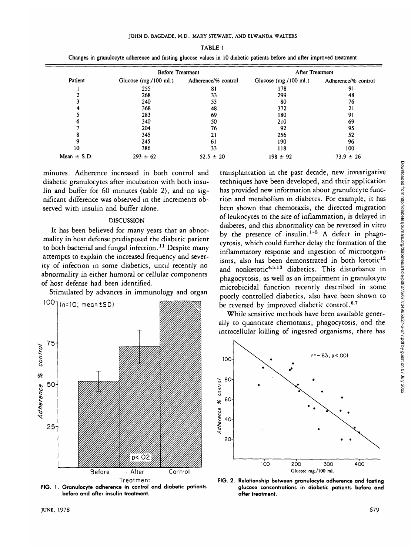| Patient         | <b>Before Treatment</b>           |                     | <b>After Treatment</b>         |                     |
|-----------------|-----------------------------------|---------------------|--------------------------------|---------------------|
|                 | Glucose $(mg. / 100 \text{ ml.})$ | Adherence/% control | Glucose $(mg.100 \text{ ml.})$ | Adherence/% control |
|                 | 255                               | 81                  | 178                            | 91                  |
|                 | 268                               | 33                  | 299                            | 48                  |
|                 | 240                               | 53                  | 80                             | 76                  |
|                 | 368                               | 48                  | 372                            | 21                  |
|                 | 283                               | 69                  | 180                            | 91                  |
|                 | 340                               | 50                  | 210                            | 69                  |
|                 | 204                               | 76                  | 92                             | 95                  |
|                 | 345                               | 21                  | 256                            | 52                  |
|                 | 245                               | 61                  | 190                            | 96                  |
| 10              | 386                               | 33                  | 118                            | 100                 |
| Mean $\pm$ S.D. | $293 \pm 62$                      | $52.5 \pm 20$       | $198 \pm 92$                   | $73.9 \pm 26$       |

TABLE 1 Changes in granulocyte adherence and fasting glucose values in 10 diabetic patients before and after improved treatment

minutes. Adherence increased in both control and diabetic granulocytes after incubation with both insulin and buffer for 60 minutes (table 2), and no significant difference was observed in the increments observed with insulin and buffer alone.

# DISCUSSION

It has been believed for many years that an abnormality in host defense predisposed the diabetic patient to both bacterial and fungal infection.<sup>11</sup> Despite many attempts to explain the increased frequency and severity of infection in some diabetics, until recently no abnormality in either humoral or cellular components of host defense had been identified.

Stimulated by advances in immunology and organ



**FIG. 1. Granulocyte adherence in control and diabetic patients before and after insulin treatment.**

transplantation in the past decade, new investigative techniques have been developed, and their application has provided new information about granulocyte function and metabolism in diabetes. For example, it has been shown that chemotaxis, the directed migration of leukocytes to the site of inflammation, is delayed in diabetes, and this abnormality can be reversed in vitro by the presence of insulin.<sup>1-3</sup> A defect in phagocytosis, which could further delay the formation of the inflammatory response and ingestion of microorganisms, also has been demonstrated in both ketotic $12$ and nonketotic<sup>4,5,13</sup> diabetics. This disturbance in phagocytosis, as well as an impairment in granulocyte microbicidal function recently described in some poorly controlled diabetics, also have been shown to be reversed by improved diabetic control.<sup>6,7</sup>

While sensitive methods have been available generally to quantitate chemotaxis, phagocytosis, and the intracellular killing of ingested organisms, there has



**FIG. 2. Relationship between granulocyte adherence and fasting glucose concentrations in diabetic patients before and after treatment.**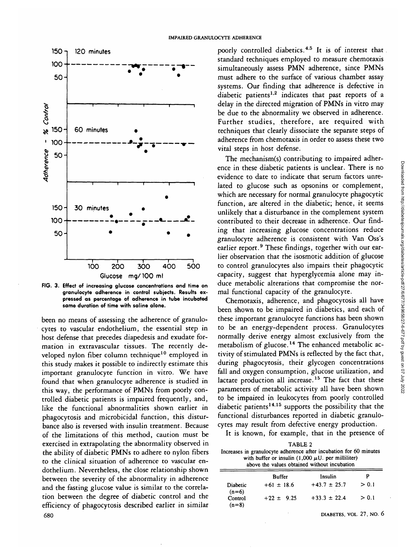

**FIG. 3. Effect of increasing glucose concentrations and time on granulocyte adherence in control subjects. Results expressed as percentage of adherence in tube incubated same duration of time with saline alone.**

been no means of assessing the adherence of granulocytes to vascular endothelium, the essential step in host defense that precedes diapedesis and exudate formation in extravascular tissues. The recently developed nylon fiber column technique<sup>10</sup> employed in this study makes it possible to indirectly estimate this important granulocyte function in vitro. We have found that when granulocyte adherence is studied in this way, the performance of PMNs from poorly controlled diabetic patients is impaired frequently, and, like the functional abnormalities shown earlier in phagocytosis and microbicidal function, this disturbance also is reversed with insulin treatment. Because of the limitations of this method, caution must be exercised in extrapolating the abnormality observed in the ability of diabetic PMNs to adhere to nylon fibers to the clinical situation of adherence to vascular endothelium. Nevertheless, the close relationship shown between the severity of the abnormality in adherence and the fasting glucose value is similar to the correlation between the degree of diabetic control and the efficiency of phagocytosis described earlier in similar 680

poorly controlled diabetics.<sup>45</sup> It is of interest that standard techniques employed to measure chemotaxis simultaneously assess PMN adherence, since PMNs must adhere to the surface of various chamber assay systems. Our finding that adherence is defective in diabetic patients<sup>1,2</sup> indicates that past reports of a delay in the directed migration of PMNs in vitro may be due to the abnormality we observed in adherence. Further studies, therefore, are required with techniques that clearly dissociate the separate steps of adherence from chemotaxis in order to assess these two vital steps in host defense.

The mechanism(s) contributing to impaired adherence in these diabetic patients is unclear. There is no evidence to date to indicate that serum factors unrelated to glucose such as opsonins or complement, which are necessary for normal granulocyte phagocytic function, are altered in the diabetic; hence, it seems unlikely that a disturbance in the complement system contributed to their decrease in adherence. Our finding that increasing glucose concentrations reduce granulocyte adherence is consistent with Van Oss's earlier report.<sup>9</sup> These findings, together with our earlier observation that the isosmotic addition of glucose to control granulocytes also impairs their phagocytic capacity, suggest that hyperglycemia alone may induce metabolic alterations that compromise the normal functional capacity of the granulocyte.

Chemotaxis, adherence, and phagocytosis all have been shown to be impaired in diabetics, and each of these important granulocyte functions has been shown to be an energy-dependent process. Granulocytes normally derive energy almost exclusively from the metabolism of glucose.<sup>14</sup> The enhanced metabolic activity of stimulated PMNs is reflected by the fact that, during phagocytosis, their glycogen concentrations fall and oxygen consumption, glucose utilization, and lactate production all increase.<sup>15</sup> The fact that these parameters of metabolic activity all have been shown to be impaired in leukocytes from poorly controlled diabetic patients<sup>14,15</sup> supports the possibility that the functional disturbances reported in diabetic granulocytes may result from defective energy production.

It is known, for example, that in the presence of

| TABLE 2<br>Increases in granulocyte adherence after incubation for 60 minutes<br>with buffer or insulin $(1,000 \mu U)$ . per milliliter)<br>above the values obtained without incubation |
|-------------------------------------------------------------------------------------------------------------------------------------------------------------------------------------------|
|                                                                                                                                                                                           |

|                     | Buffer         | Insulin          | P     |
|---------------------|----------------|------------------|-------|
| Diabetic<br>$(n=6)$ | $+61 \pm 18.6$ | $+43.7 \pm 25.7$ | > 0.1 |
| Control<br>$(n=8)$  | $+22 \pm 9.25$ | $+33.3 \pm 22.4$ | > 0.1 |
|                     |                |                  |       |

**DIABETES, VOL. 27, NO. 6**